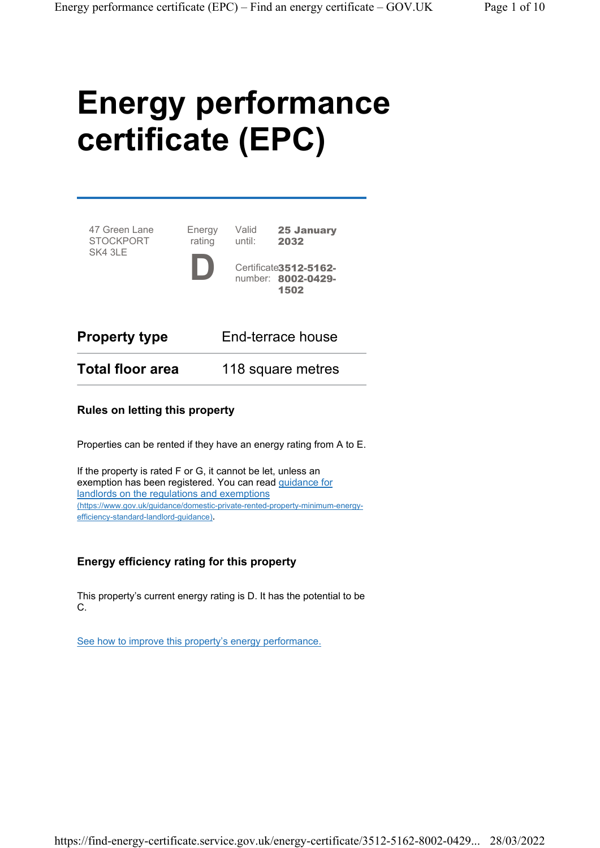# Energy performance certificate (EPC)

Valid until:

47 Green Lane **STOCKPORT** SK4 3LE Energy rating D



25 January 2032

| <b>Property type</b>    | End-terrace house |
|-------------------------|-------------------|
| <b>Total floor area</b> | 118 square metres |

#### Rules on letting this property

Properties can be rented if they have an energy rating from A to E.

If the property is rated F or G, it cannot be let, unless an exemption has been registered. You can read guidance for landlords on the regulations and exemptions (https://www.gov.uk/guidance/domestic-private-rented-property-minimum-energyefficiency-standard-landlord-guidance).

#### Energy efficiency rating for this property

This property's current energy rating is D. It has the potential to be C.

See how to improve this property's energy performance.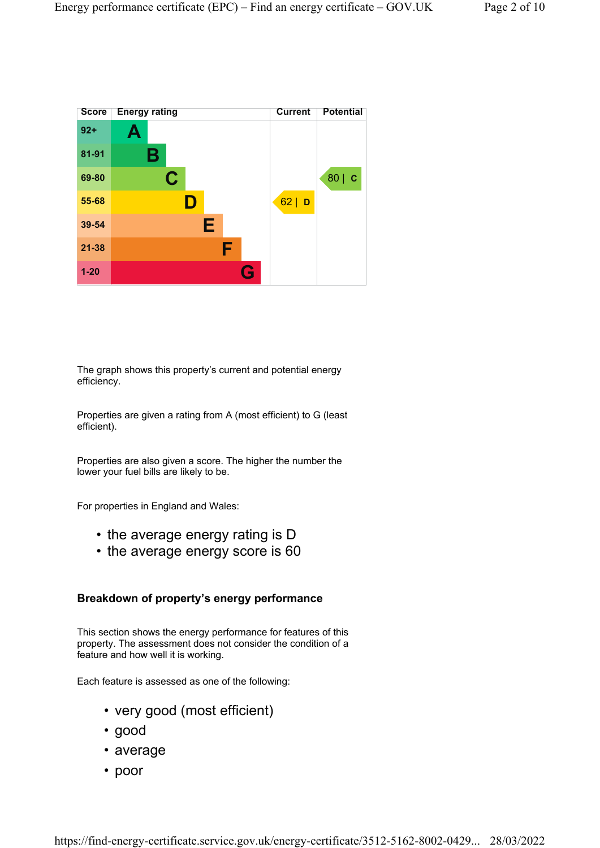

The graph shows this property's current and potential energy efficiency.

Properties are given a rating from A (most efficient) to G (least efficient).

Properties are also given a score. The higher the number the lower your fuel bills are likely to be.

For properties in England and Wales:

- the average energy rating is D
- the average energy score is 60

#### Breakdown of property's energy performance

This section shows the energy performance for features of this property. The assessment does not consider the condition of a feature and how well it is working.

Each feature is assessed as one of the following:

- very good (most efficient)
- good
- average
- poor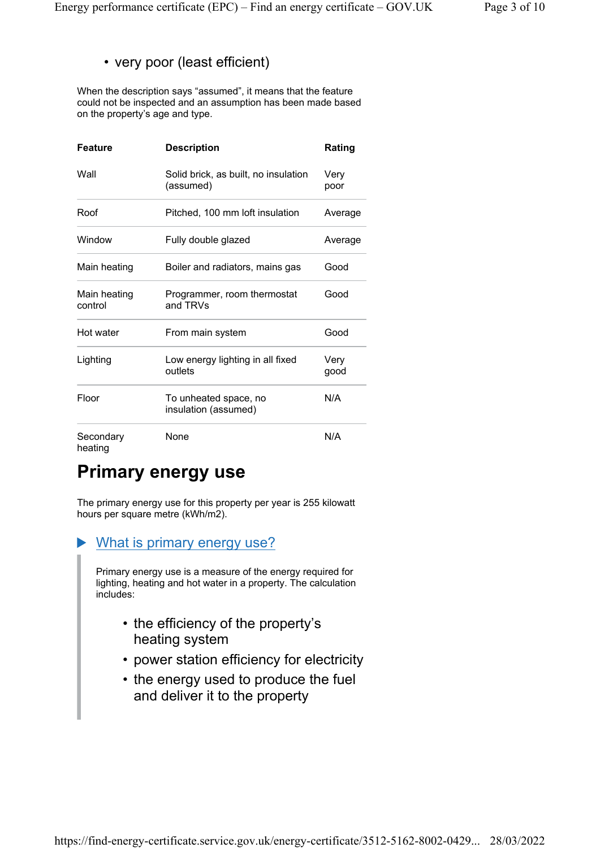### • very poor (least efficient)

When the description says "assumed", it means that the feature could not be inspected and an assumption has been made based on the property's age and type.

| <b>Feature</b>          | <b>Description</b>                                | Rating       |
|-------------------------|---------------------------------------------------|--------------|
| Wall                    | Solid brick, as built, no insulation<br>(assumed) | Very<br>poor |
| Roof                    | Pitched, 100 mm loft insulation                   | Average      |
| Window                  | Fully double glazed                               | Average      |
| Main heating            | Boiler and radiators, mains gas                   | Good         |
| Main heating<br>control | Programmer, room thermostat<br>and TRVs           | Good         |
| Hot water               | From main system                                  | Good         |
| Lighting                | Low energy lighting in all fixed<br>outlets       | Very<br>good |
| Floor                   | To unheated space, no<br>insulation (assumed)     | N/A          |
| Secondary<br>heating    | None                                              | N/A          |

# Primary energy use

The primary energy use for this property per year is 255 kilowatt hours per square metre (kWh/m2).

#### What is primary energy use?

Primary energy use is a measure of the energy required for lighting, heating and hot water in a property. The calculation includes:

- the efficiency of the property's heating system
- power station efficiency for electricity
- the energy used to produce the fuel and deliver it to the property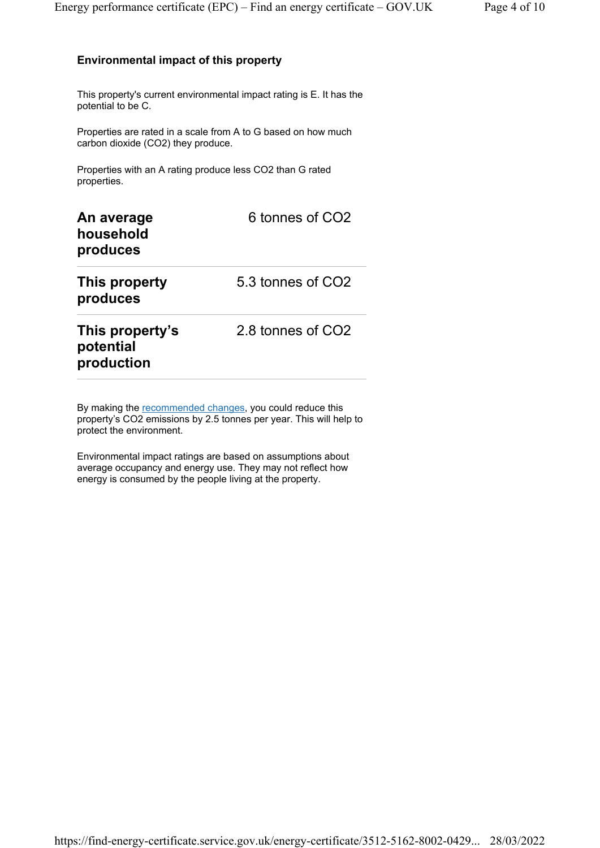#### Environmental impact of this property

This property's current environmental impact rating is E. It has the potential to be C.

Properties are rated in a scale from A to G based on how much carbon dioxide (CO2) they produce.

Properties with an A rating produce less CO2 than G rated properties.

| An average<br>household<br>produces        | 6 tonnes of CO <sub>2</sub> |
|--------------------------------------------|-----------------------------|
| This property<br>produces                  | 5.3 tonnes of CO2           |
| This property's<br>potential<br>production | 2.8 tonnes of CO2           |

By making the recommended changes, you could reduce this property's CO2 emissions by 2.5 tonnes per year. This will help to protect the environment.

Environmental impact ratings are based on assumptions about average occupancy and energy use. They may not reflect how energy is consumed by the people living at the property.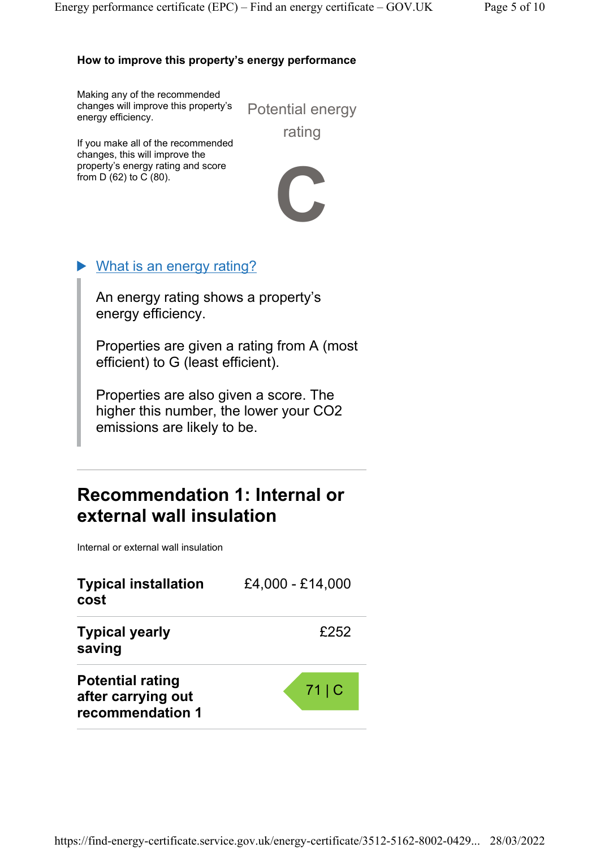#### How to improve this property's energy performance

Making any of the recommended changes will improve this property's energy efficiency.

Potential energy rating

If you make all of the recommended changes, this will improve the property's energy rating and score from D (62) to C (80).



## What is an energy rating?

An energy rating shows a property's energy efficiency.

Properties are given a rating from A (most efficient) to G (least efficient).

Properties are also given a score. The higher this number, the lower your CO2 emissions are likely to be.

## Recommendation 1: Internal or external wall insulation

Internal or external wall insulation

| <b>Typical installation</b><br>cost                               | £4,000 - £14,000 |
|-------------------------------------------------------------------|------------------|
| <b>Typical yearly</b><br>saving                                   | £252             |
| <b>Potential rating</b><br>after carrying out<br>recommendation 1 | 71 C             |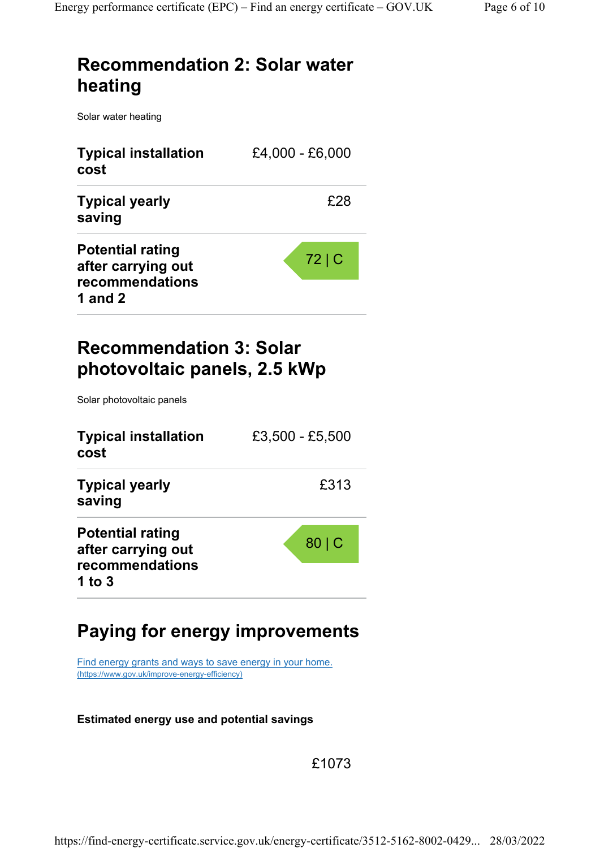# Recommendation 2: Solar water heating

Solar water heating

| <b>Typical installation</b><br>cost                                           | £4,000 - £6,000 |  |
|-------------------------------------------------------------------------------|-----------------|--|
| <b>Typical yearly</b><br>saving                                               | £28             |  |
| <b>Potential rating</b><br>after carrying out<br>recommendations<br>1 and $2$ | 72 C            |  |

# Recommendation 3: Solar photovoltaic panels, 2.5 kWp

Solar photovoltaic panels

| <b>Typical installation</b><br>cost                                        | £3,500 - £5,500 |
|----------------------------------------------------------------------------|-----------------|
| <b>Typical yearly</b><br>saving                                            | £313            |
| <b>Potential rating</b><br>after carrying out<br>recommendations<br>1 to 3 | 80 C            |

# Paying for energy improvements

Find energy grants and ways to save energy in your home. (https://www.gov.uk/improve-energy-efficiency)

#### Estimated energy use and potential savings

£1073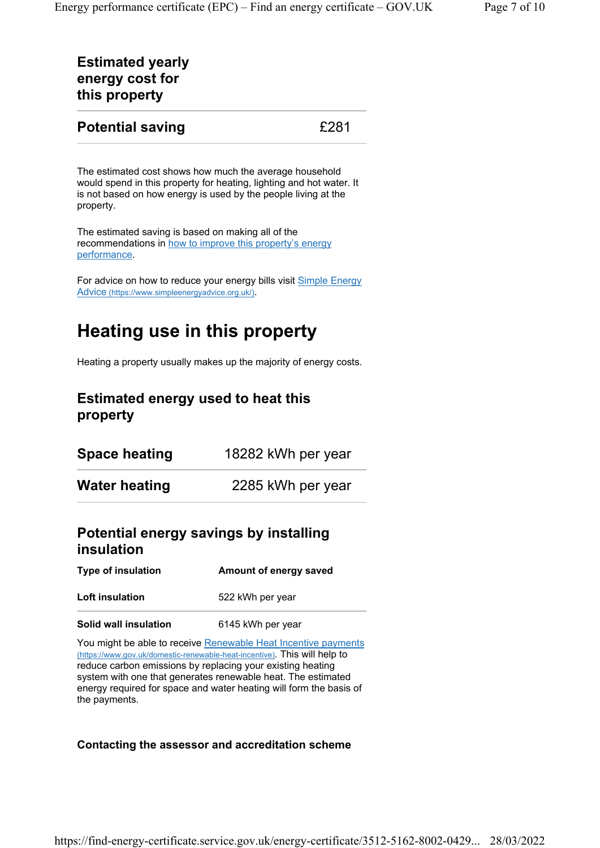## Estimated yearly energy cost for this property

### **Potential saving E281**

The estimated cost shows how much the average household would spend in this property for heating, lighting and hot water. It is not based on how energy is used by the people living at the property.

The estimated saving is based on making all of the recommendations in how to improve this property's energy performance.

For advice on how to reduce your energy bills visit Simple Energy Advice (https://www.simpleenergyadvice.org.uk/).

# Heating use in this property

Heating a property usually makes up the majority of energy costs.

## Estimated energy used to heat this property

| Space heating | 18282 kWh per year |
|---------------|--------------------|
| Water heating | 2285 kWh per year  |

## Potential energy savings by installing insulation

| <b>Type of insulation</b> | Amount of energy saved |
|---------------------------|------------------------|
|                           |                        |

Loft insulation 522 kWh per year

#### Solid wall insulation 6145 kWh per year

You might be able to receive Renewable Heat Incentive payments (https://www.gov.uk/domestic-renewable-heat-incentive). This will help to reduce carbon emissions by replacing your existing heating system with one that generates renewable heat. The estimated energy required for space and water heating will form the basis of the payments.

#### Contacting the assessor and accreditation scheme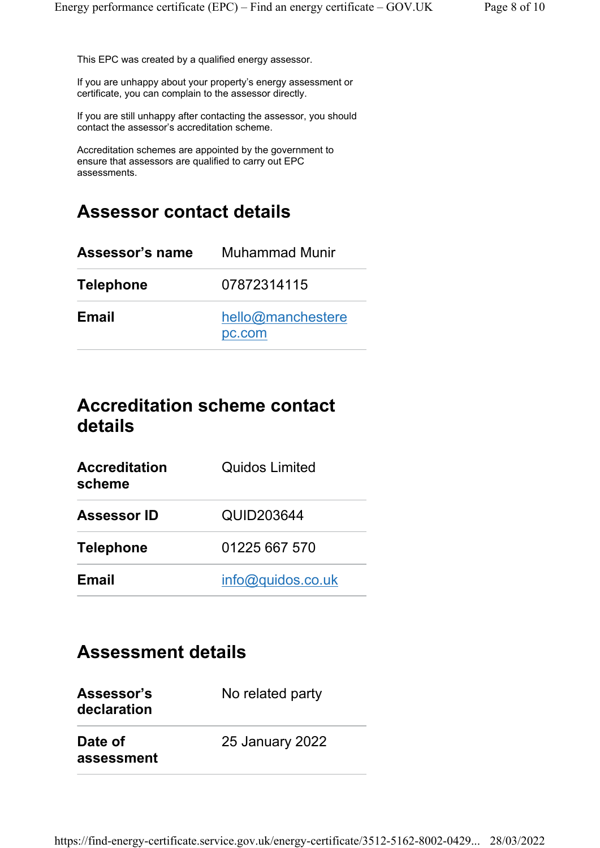This EPC was created by a qualified energy assessor.

If you are unhappy about your property's energy assessment or certificate, you can complain to the assessor directly.

If you are still unhappy after contacting the assessor, you should contact the assessor's accreditation scheme.

Accreditation schemes are appointed by the government to ensure that assessors are qualified to carry out EPC assessments.

## Assessor contact details

| Assessor's name  | Muhammad Munir              |  |
|------------------|-----------------------------|--|
| <b>Telephone</b> | 07872314115                 |  |
| <b>Email</b>     | hello@manchestere<br>pc.com |  |

## Accreditation scheme contact details

| <b>Accreditation</b><br>scheme | <b>Quidos Limited</b> |
|--------------------------------|-----------------------|
| <b>Assessor ID</b>             | QUID203644            |
| <b>Telephone</b>               | 01225 667 570         |
| <b>Email</b>                   | info@quidos.co.uk     |

## Assessment details

| Assessor's<br>declaration | No related party       |
|---------------------------|------------------------|
| Date of<br>assessment     | <b>25 January 2022</b> |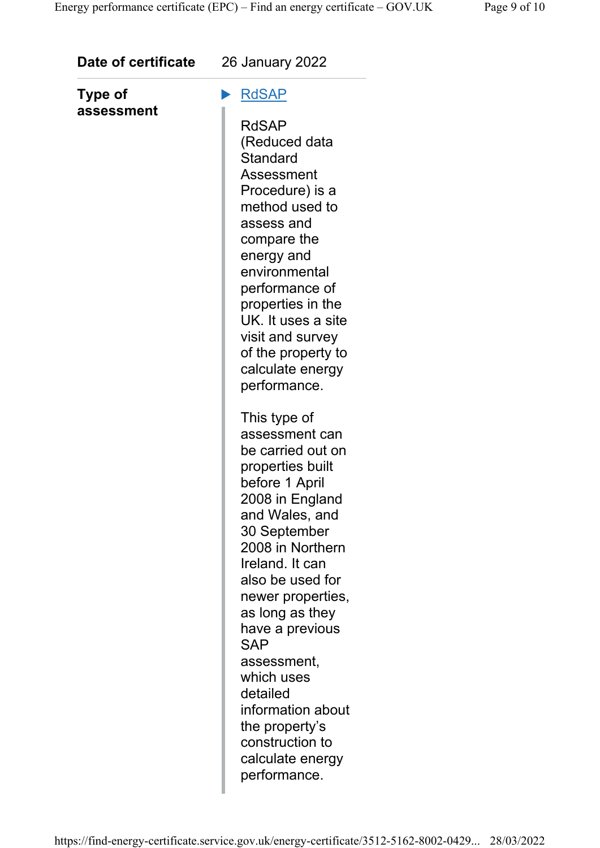| Date of certificate   | <b>26 January 2022</b>                                                                                                                                                                                                                                                                                                                                                                                                    |
|-----------------------|---------------------------------------------------------------------------------------------------------------------------------------------------------------------------------------------------------------------------------------------------------------------------------------------------------------------------------------------------------------------------------------------------------------------------|
| Type of<br>assessment | <b>RdSAP</b><br><b>RdSAP</b><br>(Reduced data<br><b>Standard</b><br>Assessment<br>Procedure) is a<br>method used to<br>assess and<br>compare the<br>energy and<br>environmental<br>performance of<br>properties in the<br>UK. It uses a site<br>visit and survey<br>of the property to<br>calculate energy<br>performance.                                                                                                |
|                       | This type of<br>assessment can<br>be carried out on<br>properties built<br>before 1 April<br>2008 in England<br>and Wales, and<br>30 September<br>2008 in Northern<br>Ireland. It can<br>also be used for<br>newer properties,<br>as long as they<br>have a previous<br><b>SAP</b><br>assessment,<br>which uses<br>detailed<br>information about<br>the property's<br>construction to<br>calculate energy<br>performance. |